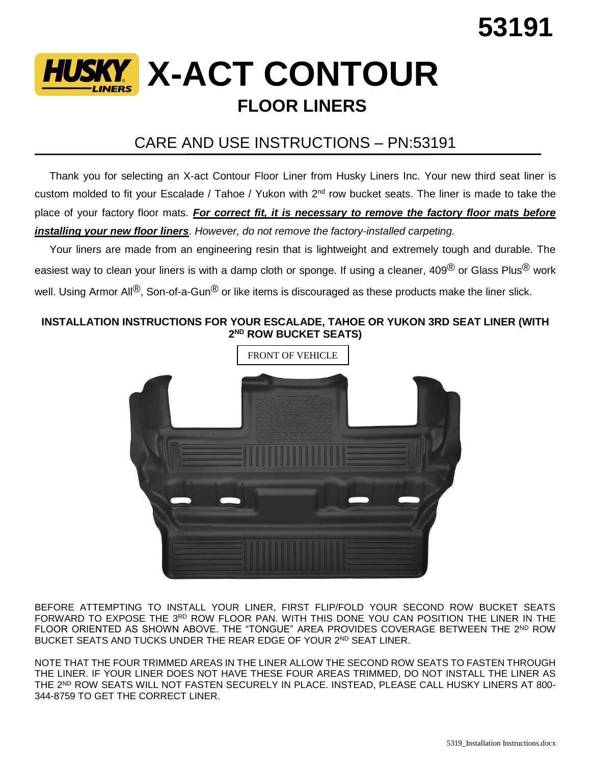

## CARE AND USE INSTRUCTIONS – PN:53191

 Thank you for selecting an X-act Contour Floor Liner from Husky Liners Inc. Your new third seat liner is custom molded to fit your Escalade / Tahoe / Yukon with 2<sup>nd</sup> row bucket seats. The liner is made to take the place of your factory floor mats. *For correct fit, it is necessary to remove the factory floor mats before installing your new floor liners*. *However, do not remove the factory-installed carpeting.*

 Your liners are made from an engineering resin that is lightweight and extremely tough and durable. The easiest way to clean your liners is with a damp cloth or sponge. If using a cleaner, 409<sup>®</sup> or Glass Plus<sup>®</sup> work well. Using Armor All<sup>®</sup>, Son-of-a-Gun<sup>®</sup> or like items is discouraged as these products make the liner slick.

## **INSTALLATION INSTRUCTIONS FOR YOUR ESCALADE, TAHOE OR YUKON 3RD SEAT LINER (WITH 2 ND ROW BUCKET SEATS)**



BEFORE ATTEMPTING TO INSTALL YOUR LINER, FIRST FLIP/FOLD YOUR SECOND ROW BUCKET SEATS FORWARD TO EXPOSE THE 3RD ROW FLOOR PAN. WITH THIS DONE YOU CAN POSITION THE LINER IN THE FLOOR ORIENTED AS SHOWN ABOVE. THE "TONGUE" AREA PROVIDES COVERAGE BETWEEN THE 2ND ROW BUCKET SEATS AND TUCKS UNDER THE REAR EDGE OF YOUR 2<sup>ND</sup> SEAT LINER.

NOTE THAT THE FOUR TRIMMED AREAS IN THE LINER ALLOW THE SECOND ROW SEATS TO FASTEN THROUGH THE LINER. IF YOUR LINER DOES NOT HAVE THESE FOUR AREAS TRIMMED, DO NOT INSTALL THE LINER AS THE 2 ND ROW SEATS WILL NOT FASTEN SECURELY IN PLACE. INSTEAD, PLEASE CALL HUSKY LINERS AT 800- 344-8759 TO GET THE CORRECT LINER.